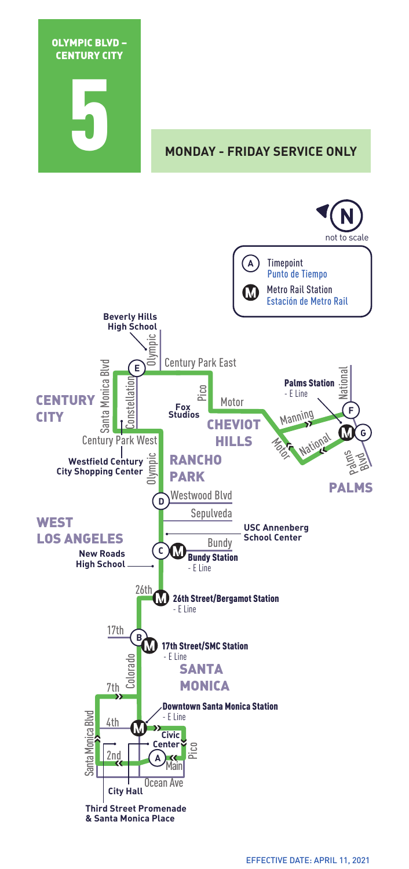

**MONDAY - FRIDAY SERVICE ONLY** 

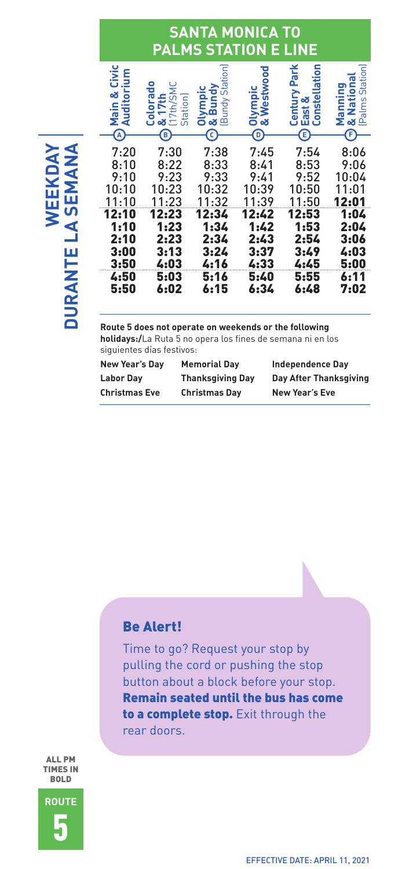## **SANTA MONICA TO PALMS STATION E LINE**

| Civic<br>orium<br>ă<br>Audite<br>Main<br>$\hat{\Phi}$ | ۰<br>17th/SM<br>ō<br><b>Colora</b><br>7th<br>Station<br>œ<br>$\circledast$ | Ē<br>Stati<br>Bundy<br>Olympı<br>Bundy <sub>3</sub><br>œ<br>O | stwood<br>Olympic<br>& Westw<br>⊚             | Park<br>Constellation<br>Century<br>త<br>East<br>$\bigcirc$ | œ<br>Stati<br>anning<br>c<br>÷<br>£<br>Σ∝<br>உ<br>F. |
|-------------------------------------------------------|----------------------------------------------------------------------------|---------------------------------------------------------------|-----------------------------------------------|-------------------------------------------------------------|------------------------------------------------------|
| 7:20<br>8:10                                          | 7:30<br>8:22                                                               | 7:38<br>8:33                                                  | 7:45<br>8:41                                  | 7:54<br>8:53                                                | 8:06<br>9:06                                         |
| 9:10                                                  | 9:23                                                                       | 9:33                                                          | 9:41                                          | 9:52                                                        | 10:04                                                |
| 10:10                                                 | 10:23                                                                      | 10:32                                                         | 10:39                                         | 10:50                                                       | 11:01                                                |
| 11:10                                                 | 11:23                                                                      | 11:32                                                         | 11:39                                         | 11:50                                                       | 12:01                                                |
| 12:10<br>1:10<br>2:10<br>3:00<br>3:50<br>4:50         | 12:23<br>1:23<br>2:23<br>3:13<br>4:03<br>5:03                              | 12:34<br>1:34<br>2:34<br>3:24<br>4:16<br>5:16                 | 12:42<br>1:42<br>2:43<br>3:37<br>4:33<br>5:40 | 12:53<br>1:53<br>2:54<br>3:49<br>4:45<br>5:55               | 1:04<br>2:04<br>3:06<br>4:03<br>5:00<br>6:11         |
| 5:50                                                  | 6:02                                                                       | 6:15                                                          | 6:34                                          | 6:48                                                        | 7:02                                                 |

**DURANTE LA SEMANA WEEKDAY DURANTE LA SEMANA**

**Route 5 does not operate on weekends or the following holidays:/**La Ruta 5 no opera los fines de semana ni en los siguientes días festivos:

| New Year's Day       | <b>Memorial Dav</b>     | <b>Independence Dav</b> |
|----------------------|-------------------------|-------------------------|
| <b>Labor Dav</b>     | <b>Thanksgiving Day</b> | Day After Thanksgiving  |
| <b>Christmas Eve</b> | <b>Christmas Day</b>    | <b>New Year's Eve</b>   |

### Be Alert!

Time to go? Request your stop by pulling the cord or pushing the stop button about a block before your stop. Remain seated until the bus has come to a complete stop. Exit through the rear doors.

ALL PM TIMES IN BOLD